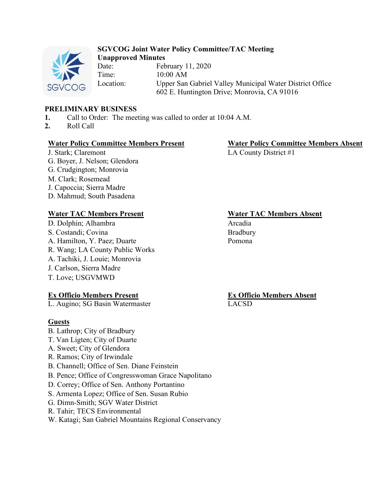

#### **SGVCOG Joint Water Policy Committee/TAC Meeting Unapproved Minutes**

Date: February 11, 2020 Time: 10:00 AM Location: Upper San Gabriel Valley Municipal Water District Office 602 E. Huntington Drive; Monrovia, CA 91016

# **PRELIMINARY BUSINESS**

- **1.** Call to Order: The meeting was called to order at 10:04 A.M.
- **2.** Roll Call

#### **Water Policy Committee Members Present Water Policy Committee Members Absent**

J. Stark; Claremont G. Boyer, J. Nelson; Glendora G. Crudgington; Monrovia M. Clark; Rosemead J. Capoccia; Sierra Madre D. Mahmud; South Pasadena

## **Water TAC Members Present Water TAC Members Absent**

D. Dolphin; Alhambra Arcadia S. Costandi; Covina A. Hamilton, Y. Paez; Duarte R. Wang; LA County Public Works A. Tachiki, J. Louie; Monrovia J. Carlson, Sierra Madre T. Love; USGVMWD

## **Ex Officio Members Present**

L. Augino; SG Basin Watermaster

## **Guests**

- B. Lathrop; City of Bradbury
- T. Van Ligten; City of Duarte
- A. Sweet; City of Glendora
- R. Ramos; City of Irwindale
- B. Channell; Office of Sen. Diane Feinstein
- B. Pence; Office of Congresswoman Grace Napolitano
- D. Correy; Office of Sen. Anthony Portantino
- S. Armenta Lopez; Office of Sen. Susan Rubio
- G. Dimn-Smith; SGV Water District
- R. Tahir; TECS Environmental

W. Katagi; San Gabriel Mountains Regional Conservancy

LA County District #1

Bradbury Pomona

**Ex Officio Members Absent** LACSD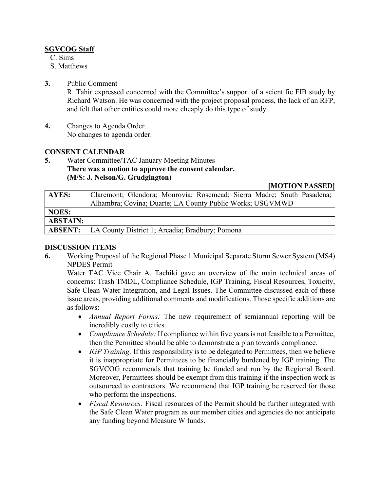## **SGVCOG Staff**

C. Sims

S. Matthews

#### **3.** Public Comment

R. Tahir expressed concerned with the Committee's support of a scientific FIB study by Richard Watson. He was concerned with the project proposal process, the lack of an RFP, and felt that other entities could more cheaply do this type of study.

**4.** Changes to Agenda Order. No changes to agenda order.

## **CONSENT CALENDAR**

**5.** Water Committee/TAC January Meeting Minutes **There was a motion to approve the consent calendar. (M/S: J. Nelson/G. Grudgington)**

**[MOTION PASSED]**

| AYES:           | Claremont; Glendora; Monrovia; Rosemead; Sierra Madre; South Pasadena; |
|-----------------|------------------------------------------------------------------------|
|                 | Alhambra; Covina; Duarte; LA County Public Works; USGVMWD              |
| NOES:           |                                                                        |
| <b>ABSTAIN:</b> |                                                                        |
| <b>ABSENT:</b>  | LA County District 1; Arcadia; Bradbury; Pomona                        |

#### **DISCUSSION ITEMS**

**6.** Working Proposal of the Regional Phase 1 Municipal Separate Storm Sewer System (MS4) NPDES Permit

Water TAC Vice Chair A. Tachiki gave an overview of the main technical areas of concerns: Trash TMDL, Compliance Schedule, IGP Training, Fiscal Resources, Toxicity, Safe Clean Water Integration, and Legal Issues. The Committee discussed each of these issue areas, providing additional comments and modifications. Those specific additions are as follows:

- *Annual Report Forms:* The new requirement of semiannual reporting will be incredibly costly to cities.
- *Compliance Schedule:* If compliance within five years is not feasible to a Permittee, then the Permittee should be able to demonstrate a plan towards compliance.
- *IGP Training:* If this responsibility is to be delegated to Permittees, then we believe it is inappropriate for Permittees to be financially burdened by IGP training. The SGVCOG recommends that training be funded and run by the Regional Board. Moreover, Permittees should be exempt from this training if the inspection work is outsourced to contractors. We recommend that IGP training be reserved for those who perform the inspections.
- *Fiscal Resources:* Fiscal resources of the Permit should be further integrated with the Safe Clean Water program as our member cities and agencies do not anticipate any funding beyond Measure W funds.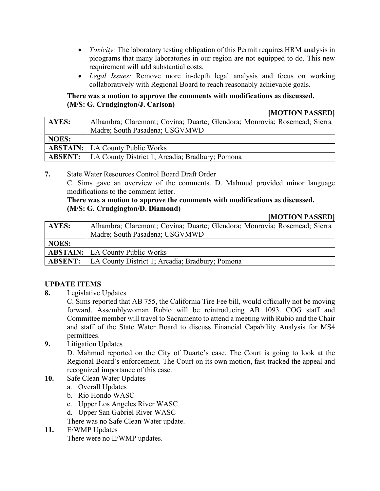- *Toxicity:* The laboratory testing obligation of this Permit requires HRM analysis in picograms that many laboratories in our region are not equipped to do. This new requirement will add substantial costs.
- *Legal Issues:* Remove more in-depth legal analysis and focus on working collaboratively with Regional Board to reach reasonably achievable goals.

## **There was a motion to approve the comments with modifications as discussed. (M/S: G. Crudgington/J. Carlson)**

#### **[MOTION PASSED]**

| <b>AYES:</b>   | Alhambra; Claremont; Covina; Duarte; Glendora; Monrovia; Rosemead; Sierra |
|----------------|---------------------------------------------------------------------------|
|                | Madre; South Pasadena; USGVMWD                                            |
| <b>NOES:</b>   |                                                                           |
|                | <b>ABSTAIN:</b>   LA County Public Works                                  |
| <b>ABSENT:</b> | LA County District 1; Arcadia; Bradbury; Pomona                           |

**7.** State Water Resources Control Board Draft Order

C. Sims gave an overview of the comments. D. Mahmud provided minor language modifications to the comment letter.

## **There was a motion to approve the comments with modifications as discussed. (M/S: G. Crudgington/D. Diamond)**

## **[MOTION PASSED]**

| AYES:          | Alhambra; Claremont; Covina; Duarte; Glendora; Monrovia; Rosemead; Sierra |
|----------------|---------------------------------------------------------------------------|
|                | Madre; South Pasadena; USGVMWD                                            |
| <b>NOES:</b>   |                                                                           |
|                | <b>ABSTAIN:</b>   LA County Public Works                                  |
| <b>ABSENT:</b> | LA County District 1; Arcadia; Bradbury; Pomona                           |

## **UPDATE ITEMS**

**8.** Legislative Updates

C. Sims reported that AB 755, the California Tire Fee bill, would officially not be moving forward. Assemblywoman Rubio will be reintroducing AB 1093. COG staff and Committee member will travel to Sacramento to attend a meeting with Rubio and the Chair and staff of the State Water Board to discuss Financial Capability Analysis for MS4 permittees.

**9.** Litigation Updates

D. Mahmud reported on the City of Duarte's case. The Court is going to look at the Regional Board's enforcement. The Court on its own motion, fast-tracked the appeal and recognized importance of this case.

- **10.** Safe Clean Water Updates
	- a. Overall Updates
	- b. Rio Hondo WASC
	- c. Upper Los Angeles River WASC
	- d. Upper San Gabriel River WASC

There was no Safe Clean Water update.

**11.** E/WMP Updates

There were no E/WMP updates.